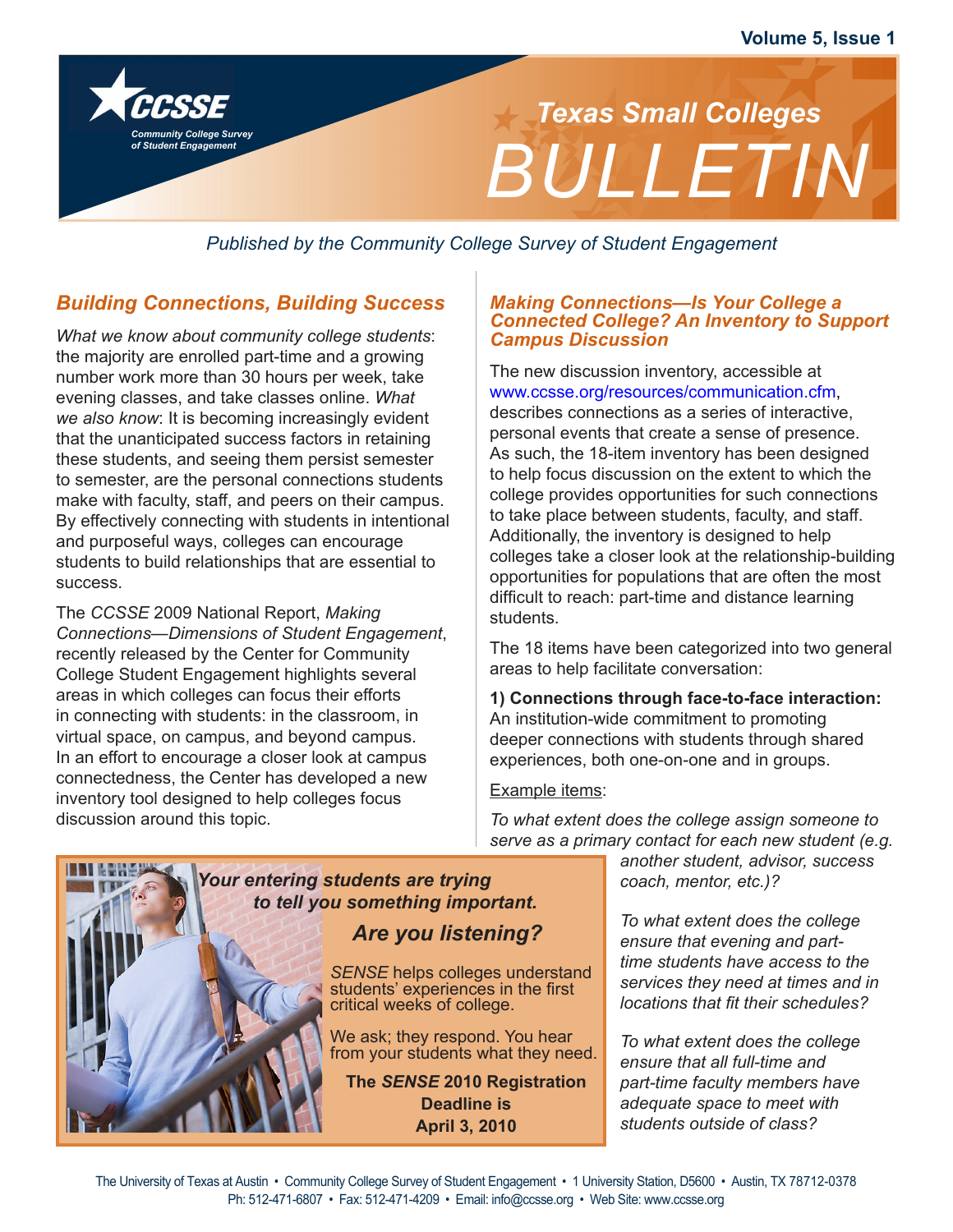

 *Published by the Community College Survey of Student Engagement*

# *Building Connections, Building Success*

*Community College Survey of Student Engagement*

*What we know about community college students*: the majority are enrolled part-time and a growing number work more than 30 hours per week, take evening classes, and take classes online. *What we also know*: It is becoming increasingly evident that the unanticipated success factors in retaining these students, and seeing them persist semester to semester, are the personal connections students make with faculty, staff, and peers on their campus. By effectively connecting with students in intentional and purposeful ways, colleges can encourage students to build relationships that are essential to success.

The *CCSSE* 2009 National Report, *Making Connections—Dimensions of Student Engagement*, recently released by the Center for Community College Student Engagement highlights several areas in which colleges can focus their efforts in connecting with students: in the classroom, in virtual space, on campus, and beyond campus. In an effort to encourage a closer look at campus connectedness, the Center has developed a new inventory tool designed to help colleges focus discussion around this topic.

#### *Making Connections—Is Your College a Connected College? An Inventory to Support Campus Discussion*

The new discussion inventory, accessible at www.ccsse.org/resources/communication.cfm, describes connections as a series of interactive, personal events that create a sense of presence. As such, the 18-item inventory has been designed to help focus discussion on the extent to which the college provides opportunities for such connections to take place between students, faculty, and staff. Additionally, the inventory is designed to help colleges take a closer look at the relationship-building opportunities for populations that are often the most difficult to reach: part-time and distance learning students.

The 18 items have been categorized into two general areas to help facilitate conversation:

**1) Connections through face-to-face interaction:**  An institution-wide commitment to promoting deeper connections with students through shared experiences, both one-on-one and in groups.

#### Example items:

*To what extent does the college assign someone to serve as a primary contact for each new student (e.g.*

*another student, advisor, success coach, mentor, etc.)?*

*To what extent does the college ensure that evening and parttime students have access to the services they need at times and in locations that fit their schedules?*

*To what extent does the college ensure that all full-time and part-time faculty members have adequate space to meet with students outside of class?*

# *Are you listening? Your entering students are trying to tell you something important.*

*SENSE* helps colleges understand students' experiences in the first critical weeks of college.

We ask; they respond. You hear from your students what they need.

**The** *SENSE* **2010 Registration Deadline is April 3, 2010**